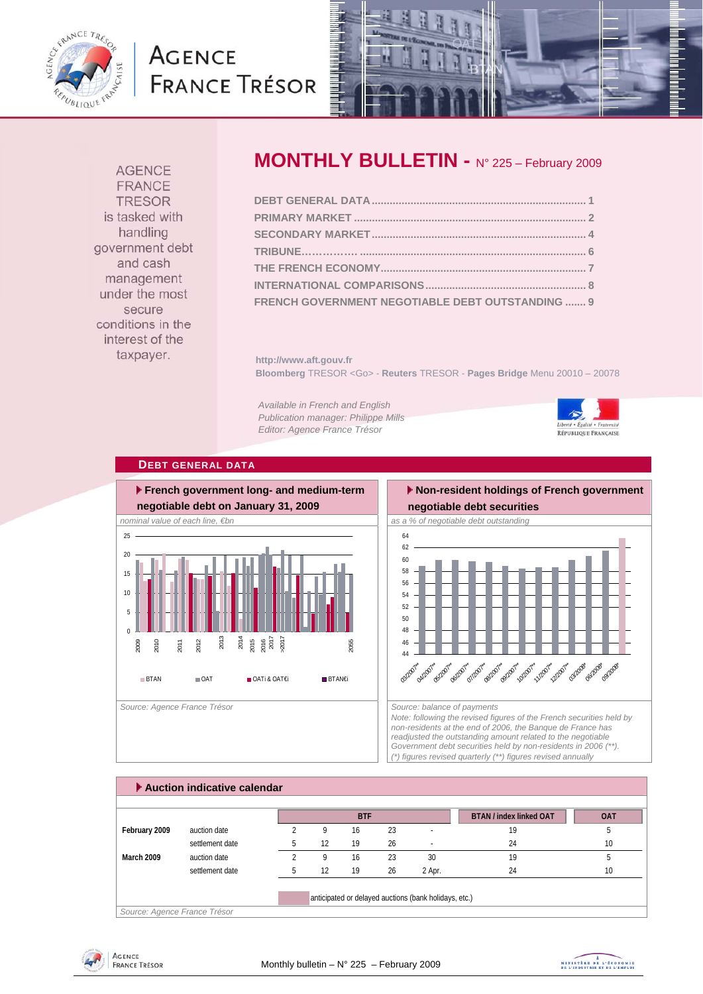

# **AGENCE FRANCE TRÉSOR**



**AGENCE** FRANCE **TRESOR** is tasked with handling government debt and cash management under the most secure conditions in the interest of the taxpayer.

## **MONTHLY BULLETIN -** N° 225 – February 2009

| FRENCH GOVERNMENT NEGOTIABLE DEBT OUTSTANDING  9 |  |
|--------------------------------------------------|--|

**http://www.aft.gouv.fr Bloomberg** TRESOR <Go> - **Reuters** TRESOR - **Pages Bridge** Menu 20010 – 20078

*Available in French and English Publication manager: Philippe Mills Editor: Agence France Trésor* 



## **DEBT GENERAL DATA**



## **Non-resident holdings of French government negotiable debt securities**



*Note: following the revised figures of the French securities held by non-residents at the end of 2006, the Banque de France has readjusted the outstanding amount related to the negotiable Government debt securities held by non-residents in 2006 (\*\*). (\*) figures revised quarterly (\*\*) figures revised annually* 

| Auction indicative calendar  |                 |  |    |            |    |                                                       |                                |            |  |  |
|------------------------------|-----------------|--|----|------------|----|-------------------------------------------------------|--------------------------------|------------|--|--|
|                              |                 |  |    | <b>BTF</b> |    |                                                       | <b>BTAN / index linked OAT</b> | <b>OAT</b> |  |  |
| February 2009                | auction date    |  | 9  | 16         | 23 | $\overline{a}$                                        | 19                             | b          |  |  |
|                              | settlement date |  | 12 | 19         | 26 |                                                       | 24                             | 10         |  |  |
| March 2009                   | auction date    |  | q  | 16         | 23 | 30                                                    | 19                             | b          |  |  |
|                              | settlement date |  | 12 | 19         | 26 | 2 Apr.                                                | 24                             | 10         |  |  |
| Source: Agence France Trésor |                 |  |    |            |    | anticipated or delayed auctions (bank holidays, etc.) |                                |            |  |  |

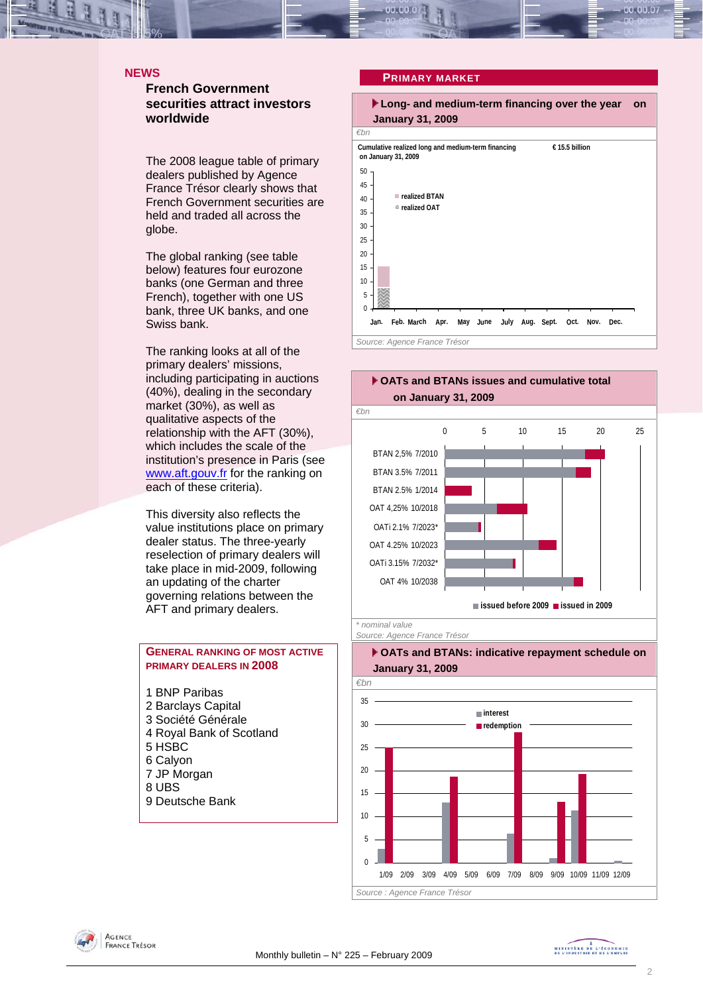#### **NEWS**

**French Government securities attract investors worldwide** 

The 2008 league table of primary dealers published by Agence France Trésor clearly shows that French Government securities are held and traded all across the globe.

The global ranking (see table below) features four eurozone banks (one German and three French), together with one US bank, three UK banks, and one Swiss bank.

The ranking looks at all of the primary dealers' missions, including participating in auctions (40%), dealing in the secondary market (30%), as well as qualitative aspects of the relationship with the AFT (30%), which includes the scale of the institution's presence in Paris (see www.aft.gouv.fr for the ranking on each of these criteria).

This diversity also reflects the value institutions place on primary dealer status. The three-yearly reselection of primary dealers will take place in mid-2009, following an updating of the charter governing relations between the AFT and primary dealers.

## **GENERAL RANKING OF MOST ACTIVE PRIMARY DEALERS IN 2008**

- 1 BNP Paribas 2 Barclays Capital 3 Société Générale 4 Royal Bank of Scotland 5 HSBC 6 Calyon 7 JP Morgan 8 UBS
- 9 Deutsche Bank

## **PRIMARY MARKET**





*Source: Agence France Trésor* 



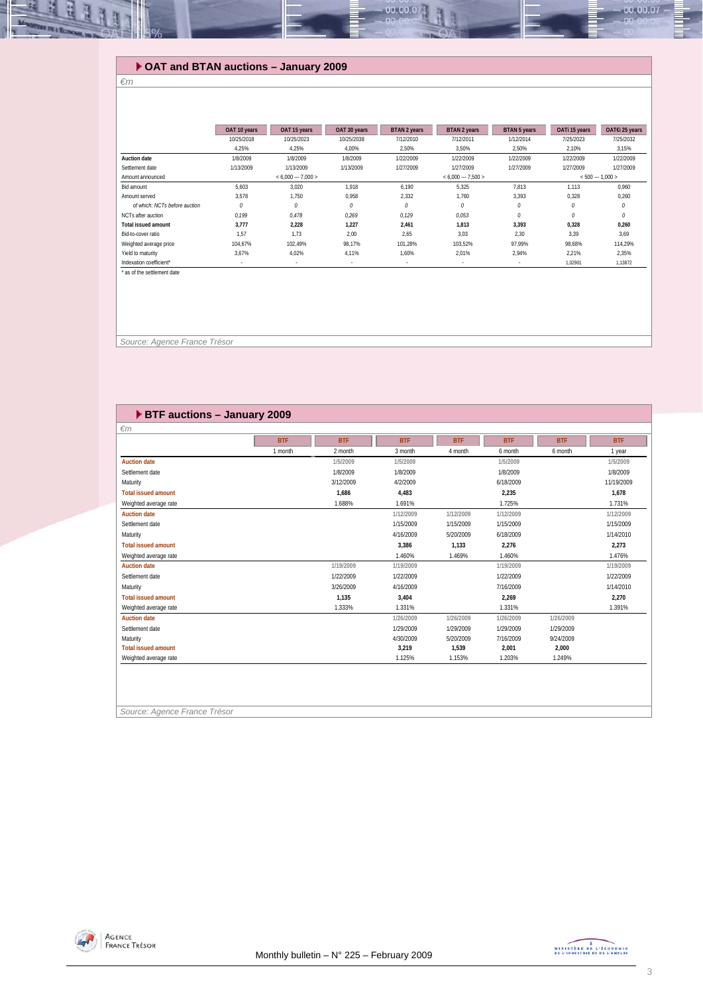## **OAT and BTAN auctions – January 2009**

#### *€m*

Щ R

|                               | OAT 10 years | OAT 15 years        | OAT 30 years | <b>BTAN 2 years</b> | <b>BTAN 2 years</b>  | <b>BTAN 5 years</b> | OATi 15 years | OAT€i 25 years    |
|-------------------------------|--------------|---------------------|--------------|---------------------|----------------------|---------------------|---------------|-------------------|
|                               | 10/25/2018   | 10/25/2023          | 10/25/2038   | 7/12/2010           | 7/12/2011            | 1/12/2014           | 7/25/2023     | 7/25/2032         |
|                               | 4.25%        | 4,25%               | 4,00%        | 2,50%               | 3,50%                | 2,50%               | 2.10%         | 3,15%             |
| <b>Auction date</b>           | 1/8/2009     | 1/8/2009            | 1/8/2009     | 1/22/2009           | 1/22/2009            | 1/22/2009           | 1/22/2009     | 1/22/2009         |
| Settlement date               | 1/13/2009    | 1/13/2009           | 1/13/2009    | 1/27/2009           | 1/27/2009            | 1/27/2009           | 1/27/2009     | 1/27/2009         |
| Amount announced              |              | $< 6.000 - 7.000 >$ |              |                     | $< 6,000 -- 7,500 >$ |                     |               | $< 500 - 1,000 >$ |
| Bid amount                    | 5.603        | 3.020               | 1.918        | 6.190               | 5,325                | 7,813               | 1.113         | 0.960             |
| Amount served                 | 3.578        | 1.750               | 0.958        | 2,332               | 1.760                | 3,393               | 0,328         | 0,260             |
| of which: NCTs before auction | 0            | $\theta$            | 0            | 0                   | 0                    | $\mathcal O$        | 0             | $\theta$          |
| NCTs after auction            | 0.199        | 0.478               | 0.269        | 0.129               | 0,053                | 0                   | 0             | $\theta$          |
| <b>Total issued amount</b>    | 3.777        | 2.228               | 1.227        | 2,461               | 1.813                | 3,393               | 0,328         | 0,260             |
| Bid-to-cover ratio            | 1.57         | 1.73                | 2.00         | 2.65                | 3.03                 | 2.30                | 3.39          | 3.69              |
| Weighted average price        | 104.67%      | 102.49%             | 98.17%       | 101.28%             | 103,52%              | 97.99%              | 98,68%        | 114,29%           |
| Yield to maturity             | 3.67%        | 4,02%               | 4.11%        | 1,60%               | 2,01%                | 2.94%               | 2.21%         | 2,35%             |
| Indexation coefficient*       | ٠            |                     | $\sim$       | $\sim$              | $\sim$               | $\sim$              | 1,02901       | 1,13872           |
| ' as of the settlement date   |              |                     |              |                     |                      |                     |               |                   |
|                               |              |                     |              |                     |                      |                     |               |                   |

00.00.0

 *Source: Agence France Trésor* 

## **BTF auctions – January 2009**

| $\epsilon$ m               |            |            |            |            |            |            |            |
|----------------------------|------------|------------|------------|------------|------------|------------|------------|
|                            | <b>BTF</b> | <b>BTF</b> | <b>BTF</b> | <b>BTF</b> | <b>BTF</b> | <b>BTF</b> | <b>BTF</b> |
|                            | 1 month    | 2 month    | 3 month    | 4 month    | 6 month    | 6 month    | 1 year     |
| <b>Auction date</b>        |            | 1/5/2009   | 1/5/2009   |            | 1/5/2009   |            | 1/5/2009   |
| Settlement date            |            | 1/8/2009   | 1/8/2009   |            | 1/8/2009   |            | 1/8/2009   |
| Maturity                   |            | 3/12/2009  | 4/2/2009   |            | 6/18/2009  |            | 11/19/2009 |
| <b>Total issued amount</b> |            | 1,686      | 4,483      |            | 2,235      |            | 1,678      |
| Weighted average rate      |            | 1.688%     | 1.691%     |            | 1.725%     |            | 1.731%     |
| <b>Auction date</b>        |            |            | 1/12/2009  | 1/12/2009  | 1/12/2009  |            | 1/12/2009  |
| Settlement date            |            |            | 1/15/2009  | 1/15/2009  | 1/15/2009  |            | 1/15/2009  |
| Maturity                   |            |            | 4/16/2009  | 5/20/2009  | 6/18/2009  |            | 1/14/2010  |
| <b>Total issued amount</b> |            |            | 3,386      | 1,133      | 2,276      |            | 2,273      |
| Weighted average rate      |            |            | 1.460%     | 1.469%     | 1.460%     |            | 1.476%     |
| <b>Auction date</b>        |            | 1/19/2009  | 1/19/2009  |            | 1/19/2009  |            | 1/19/2009  |
| Settlement date            |            | 1/22/2009  | 1/22/2009  |            | 1/22/2009  |            | 1/22/2009  |
| Maturity                   |            | 3/26/2009  | 4/16/2009  |            | 7/16/2009  |            | 1/14/2010  |
| <b>Total issued amount</b> |            | 1,135      | 3,404      |            | 2,269      |            | 2,270      |
| Weighted average rate      |            | 1.333%     | 1.331%     |            | 1.331%     |            | 1.391%     |
| <b>Auction date</b>        |            |            | 1/26/2009  | 1/26/2009  | 1/26/2009  | 1/26/2009  |            |
| Settlement date            |            |            | 1/29/2009  | 1/29/2009  | 1/29/2009  | 1/29/2009  |            |
| Maturity                   |            |            | 4/30/2009  | 5/20/2009  | 7/16/2009  | 9/24/2009  |            |
| <b>Total issued amount</b> |            |            | 3,219      | 1,539      | 2,001      | 2,000      |            |
| Weighted average rate      |            |            | 1.125%     | 1.153%     | 1.203%     | 1.249%     |            |

*Source: Agence France Trésor* 



00.00.07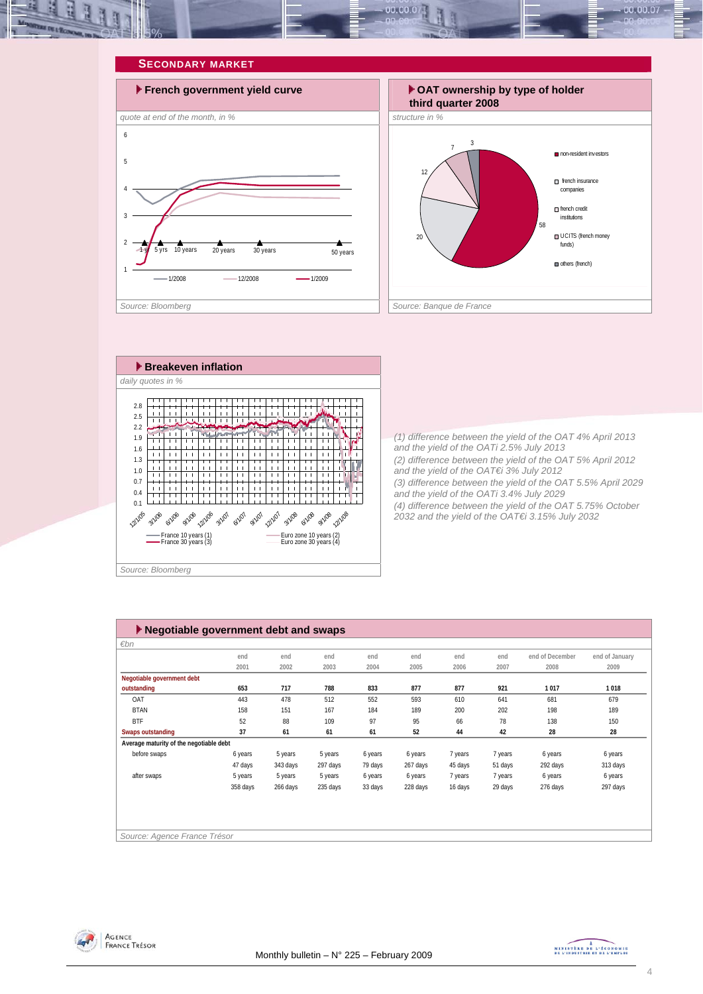

### **SECONDARY MARKET**







*(1) difference between the yield of the OAT 4% April 2013 and the yield of the OATi 2.5% July 2013 (2) difference between the yield of the OAT 5% April 2012 and the yield of the OAT€i 3% July 2012 (3) difference between the yield of the OAT 5.5% April 2029 and the yield of the OATi 3.4% July 2029 (4) difference between the yield of the OAT 5.75% October 2032 and the yield of the OAT€i 3.15% July 2032* 

| $\blacktriangleright$ Negotiable government debt and swaps |          |          |          |         |          |         |         |                 |                |
|------------------------------------------------------------|----------|----------|----------|---------|----------|---------|---------|-----------------|----------------|
| €bn                                                        |          |          |          |         |          |         |         |                 |                |
|                                                            | end      | end      | end      | end     | end      | end     | end     | end of December | end of January |
|                                                            | 2001     | 2002     | 2003     | 2004    | 2005     | 2006    | 2007    | 2008            | 2009           |
| Negotiable government debt                                 |          |          |          |         |          |         |         |                 |                |
| outstanding                                                | 653      | 717      | 788      | 833     | 877      | 877     | 921     | 1017            | 1018           |
| OAT                                                        | 443      | 478      | 512      | 552     | 593      | 610     | 641     | 681             | 679            |
| <b>BTAN</b>                                                | 158      | 151      | 167      | 184     | 189      | 200     | 202     | 198             | 189            |
| <b>BTF</b>                                                 | 52       | 88       | 109      | 97      | 95       | 66      | 78      | 138             | 150            |
| <b>Swaps outstanding</b>                                   | 37       | 61       | 61       | 61      | 52       | 44      | 42      | 28              | 28             |
| Average maturity of the negotiable debt                    |          |          |          |         |          |         |         |                 |                |
| before swaps                                               | 6 years  | 5 years  | 5 years  | 6 years | 6 years  | 7 years | 7 years | 6 years         | 6 years        |
|                                                            | 47 days  | 343 days | 297 days | 79 days | 267 days | 45 days | 51 days | 292 days        | 313 days       |
| after swaps                                                | 5 years  | 5 years  | 5 years  | 6 years | 6 years  | 7 years | 7 years | 6 years         | 6 years        |
|                                                            | 358 days | 266 days | 235 days | 33 days | 228 days | 16 days | 29 days | 276 days        | 297 days       |
|                                                            |          |          |          |         |          |         |         |                 |                |
|                                                            |          |          |          |         |          |         |         |                 |                |
|                                                            |          |          |          |         |          |         |         |                 |                |
| Source: Agence France Trésor                               |          |          |          |         |          |         |         |                 |                |



MINISTÈRE DE L'ÉCONOMIE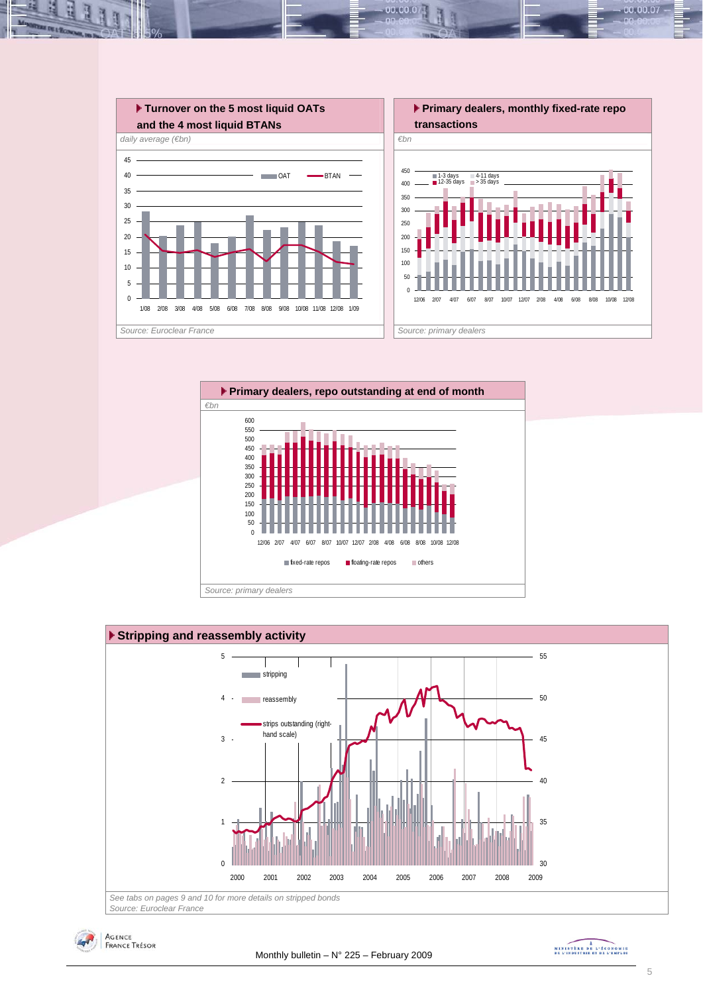

 $00.00.0$ 







MINISTREE DE L'ÉCONOMIE

00.00.07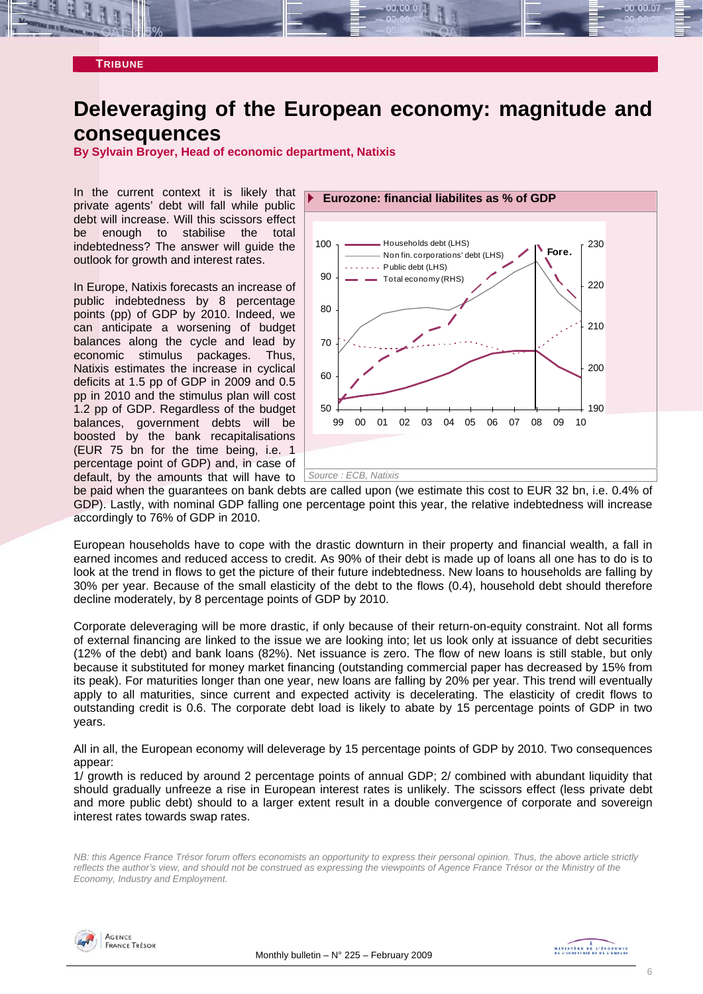

## **Deleveraging of the European economy: magnitude and consequences**

**By Sylvain Broyer, Head of economic department, Natixis** 

In the current context it is likely that private agents' debt will fall while public debt will increase. Will this scissors effect be enough to stabilise the total indebtedness? The answer will guide the outlook for growth and interest rates.

In Europe, Natixis forecasts an increase of public indebtedness by 8 percentage points (pp) of GDP by 2010. Indeed, we can anticipate a worsening of budget balances along the cycle and lead by economic stimulus packages. Thus, Natixis estimates the increase in cyclical deficits at 1.5 pp of GDP in 2009 and 0.5 pp in 2010 and the stimulus plan will cost 1.2 pp of GDP. Regardless of the budget balances, government debts will be boosted by the bank recapitalisations (EUR 75 bn for the time being, i.e. 1 percentage point of GDP) and, in case of



be paid when the guarantees on bank debts are called upon (we estimate this cost to EUR 32 bn, i.e. 0.4% of GDP). Lastly, with nominal GDP falling one percentage point this year, the relative indebtedness will increase accordingly to 76% of GDP in 2010.

European households have to cope with the drastic downturn in their property and financial wealth, a fall in earned incomes and reduced access to credit. As 90% of their debt is made up of loans all one has to do is to look at the trend in flows to get the picture of their future indebtedness. New loans to households are falling by 30% per year. Because of the small elasticity of the debt to the flows (0.4), household debt should therefore decline moderately, by 8 percentage points of GDP by 2010.

Corporate deleveraging will be more drastic, if only because of their return-on-equity constraint. Not all forms of external financing are linked to the issue we are looking into; let us look only at issuance of debt securities (12% of the debt) and bank loans (82%). Net issuance is zero. The flow of new loans is still stable, but only because it substituted for money market financing (outstanding commercial paper has decreased by 15% from its peak). For maturities longer than one year, new loans are falling by 20% per year. This trend will eventually apply to all maturities, since current and expected activity is decelerating. The elasticity of credit flows to outstanding credit is 0.6. The corporate debt load is likely to abate by 15 percentage points of GDP in two years.

All in all, the European economy will deleverage by 15 percentage points of GDP by 2010. Two consequences appear:

1/ growth is reduced by around 2 percentage points of annual GDP; 2/ combined with abundant liquidity that should gradually unfreeze a rise in European interest rates is unlikely. The scissors effect (less private debt and more public debt) should to a larger extent result in a double convergence of corporate and sovereign interest rates towards swap rates.

*NB: this Agence France Trésor forum offers economists an opportunity to express their personal opinion. Thus, the above article strictly reflects the author's view, and should not be construed as expressing the viewpoints of Agence France Trésor or the Ministry of the Economy, Industry and Employment.* 

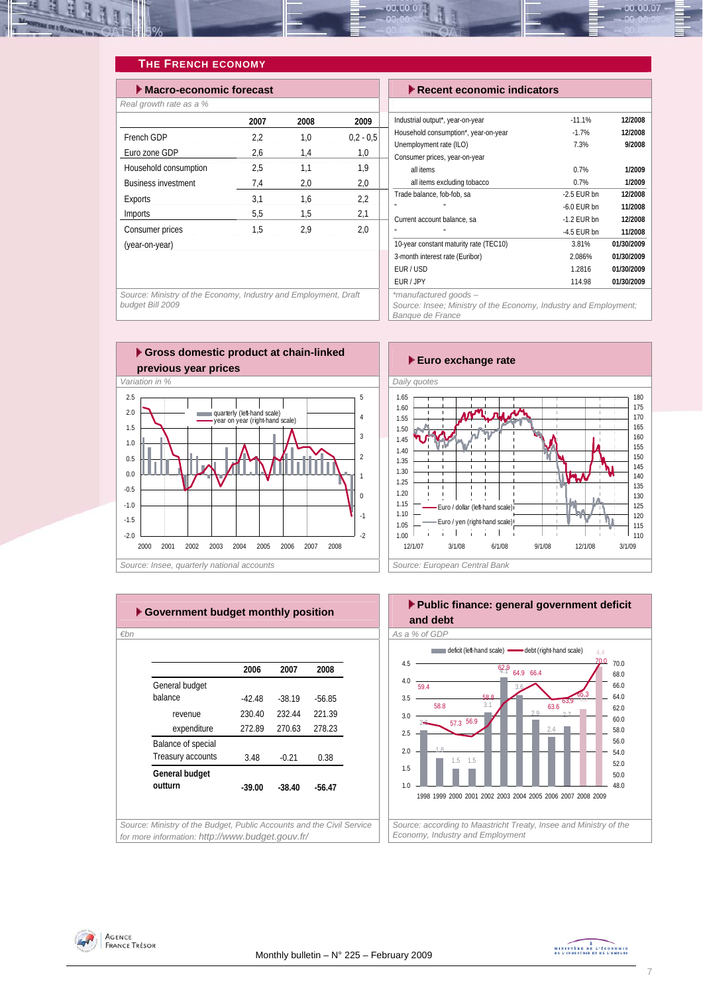

## **THE FRENCH ECONOMY**

| $\blacktriangleright$ Macro-economic forecast |      |      | $\blacktriangleright$ Recent economic indicators |                                                          |
|-----------------------------------------------|------|------|--------------------------------------------------|----------------------------------------------------------|
| Real growth rate as a %                       |      |      |                                                  |                                                          |
|                                               | 2007 | 2008 | 2009                                             | Industrial output*, year-on-year                         |
| French GDP                                    | 2,2  | 1,0  | $0.2 - 0.5$                                      | Household consumption*, year-on-year                     |
| Euro zone GDP                                 | 2,6  | 1,4  | 1,0                                              | Unemployment rate (ILO)<br>Consumer prices, year-on-year |
| Household consumption                         | 2,5  | 1,1  | 1,9                                              | all items                                                |
| <b>Business investment</b>                    | 7,4  | 2,0  | 2,0                                              | all items excluding tobacco                              |
| Exports                                       | 3,1  | 1,6  | 2,2                                              | Trade balance, fob-fob, sa                               |
| Imports                                       | 5,5  | 1,5  | 2,1                                              | Current account balance, sa                              |
| Consumer prices                               | 1,5  | 2,9  | 2,0                                              | u,                                                       |
| (year-on-year)                                |      |      |                                                  | 10-year constant maturity rate (TEC10)                   |
|                                               |      |      |                                                  | 3-month interest rate (Euribor)                          |
|                                               |      |      |                                                  | EUR/USD                                                  |

| $\blacktriangleright$ Recent economic indicators                 |               |            |
|------------------------------------------------------------------|---------------|------------|
|                                                                  |               |            |
| Industrial output*, year-on-year                                 | $-11.1%$      | 12/2008    |
| Household consumption*, year-on-year                             | $-1.7%$       | 12/2008    |
| Unemployment rate (ILO)                                          | 7.3%          | 9/2008     |
| Consumer prices, year-on-year                                    |               |            |
| all items                                                        | 0.7%          | 1/2009     |
| all items excluding tobacco                                      | 0.7%          | 1/2009     |
| Trade balance, fob-fob, sa                                       | $-2.5$ FUR bn | 12/2008    |
|                                                                  | $-6.0$ FUR bn | 11/2008    |
| Current account balance, sa                                      | $-1.2$ EUR bn | 12/2008    |
|                                                                  | -4.5 EUR bn   | 11/2008    |
| 10-year constant maturity rate (TEC10)                           | 3.81%         | 01/30/2009 |
| 3-month interest rate (Euribor)                                  | 2.086%        | 01/30/2009 |
| EUR/USD                                                          | 1.2816        | 01/30/2009 |
| EUR / JPY                                                        | 114.98        | 01/30/2009 |
| *manufactured goods-                                             |               |            |
| Source: Insee; Ministry of the Economy, Industry and Employment; |               |            |

*Banque de France* 

*Source: Ministry of the Economy, Industry and Employment, Draft budget Bill 2009* 









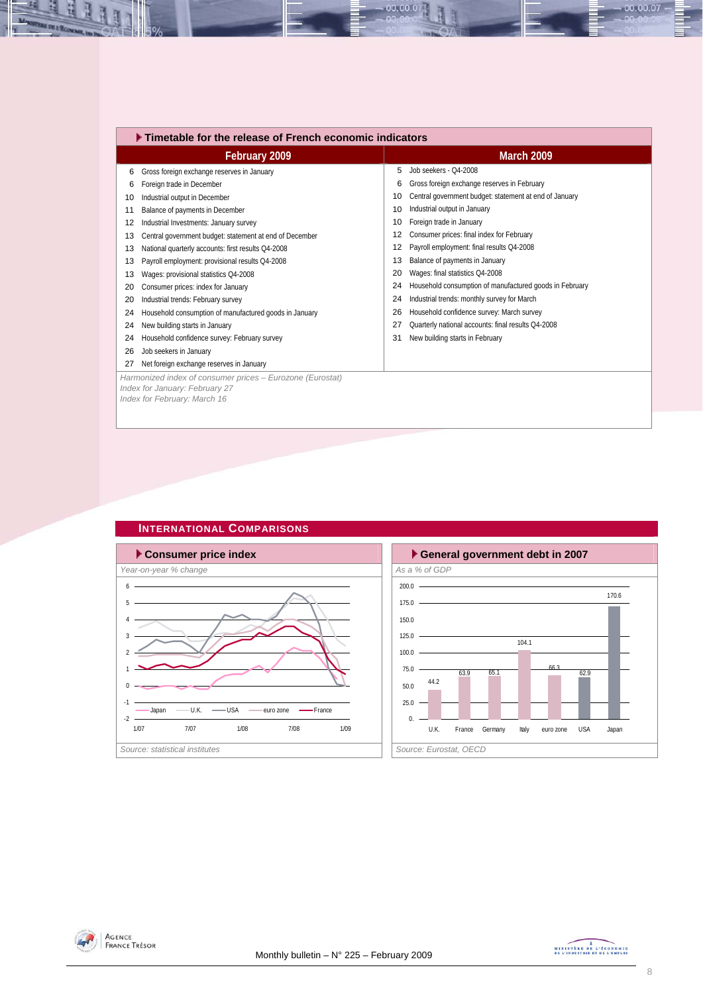|    | $\blacktriangleright$ Timetable for the release of French economic indicators                                               |    |                                                         |
|----|-----------------------------------------------------------------------------------------------------------------------------|----|---------------------------------------------------------|
|    | February 2009                                                                                                               |    | <b>March 2009</b>                                       |
| 6  | Gross foreign exchange reserves in January                                                                                  | 5  | Job seekers - 04-2008                                   |
| 6  | Foreign trade in December                                                                                                   | 6  | Gross foreign exchange reserves in February             |
| 10 | Industrial output in December                                                                                               | 10 | Central government budget: statement at end of January  |
| 11 | Balance of payments in December                                                                                             | 10 | Industrial output in January                            |
| 12 | Industrial Investments: January survey                                                                                      | 10 | Foreign trade in January                                |
| 13 | Central government budget: statement at end of December                                                                     | 12 | Consumer prices: final index for February               |
| 13 | National quarterly accounts: first results Q4-2008                                                                          | 12 | Payroll employment: final results Q4-2008               |
| 13 | Payroll employment: provisional results Q4-2008                                                                             | 13 | Balance of payments in January                          |
| 13 | Wages: provisional statistics Q4-2008                                                                                       | 20 | Wages: final statistics Q4-2008                         |
| 20 | Consumer prices: index for January                                                                                          | 24 | Household consumption of manufactured goods in February |
| 20 | Industrial trends: February survey                                                                                          | 24 | Industrial trends: monthly survey for March             |
| 24 | Household consumption of manufactured goods in January                                                                      | 26 | Household confidence survey: March survey               |
| 24 | New building starts in January                                                                                              | 27 | Quarterly national accounts: final results Q4-2008      |
| 24 | Household confidence survey: February survey                                                                                | 31 | New building starts in February                         |
| 26 | Job seekers in January                                                                                                      |    |                                                         |
| 27 | Net foreign exchange reserves in January                                                                                    |    |                                                         |
|    | Harmonized index of consumer prices - Eurozone (Eurostat)<br>Index for January: February 27<br>Index for February: March 16 |    |                                                         |
|    |                                                                                                                             |    |                                                         |

00.00.07



## **INTERNATIONAL COMPARISONS**





즤 ų

里

 $-00.00.07 -$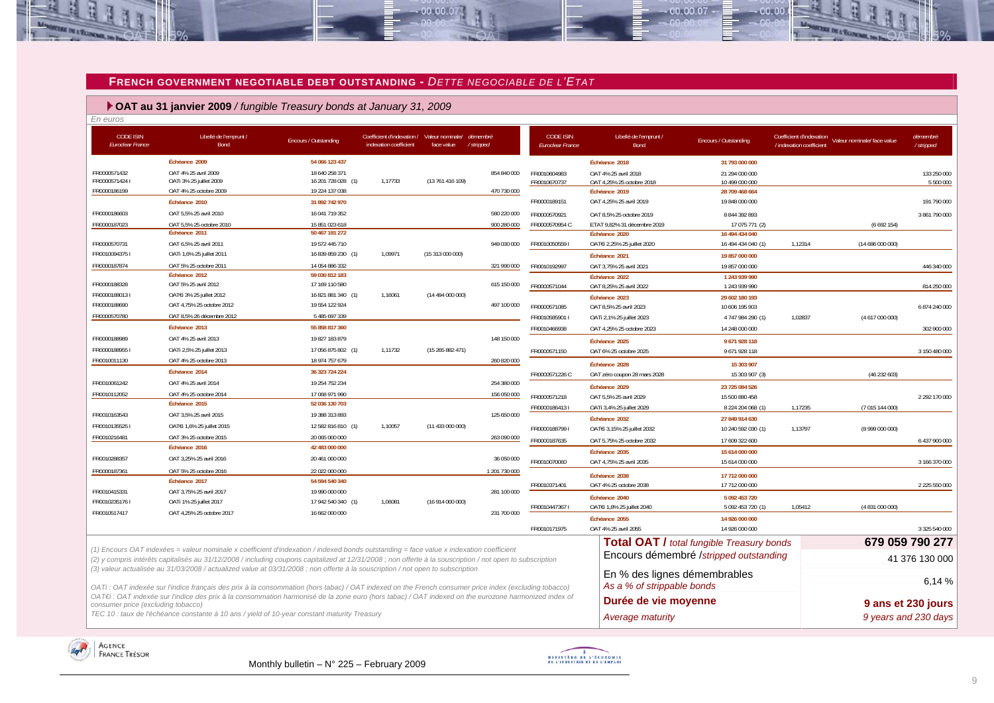#### **FRENCH GOVERNMENT NEGOTIABLE DEBT OUTSTANDING -** *DETTE NEGOCIABLE DE L'ETAT*

 $-00.00.07$ 

 **OAT au 31 janvier 2009** */ fungible Treasury bonds at January 31, 2009*

| En euros                                    |                                                                                                                                                          |                                      |                                                      |                                |                       |                                             |                                            |                                                  |                          |                                                      |                        |
|---------------------------------------------|----------------------------------------------------------------------------------------------------------------------------------------------------------|--------------------------------------|------------------------------------------------------|--------------------------------|-----------------------|---------------------------------------------|--------------------------------------------|--------------------------------------------------|--------------------------|------------------------------------------------------|------------------------|
| <b>CODE ISIN</b><br><b>Euroclear France</b> | Libellé de l'emprunt /<br>Bond                                                                                                                           | Encours / Outstanding                | Coefficient d'indexation /<br>indexation coefficient | Valeur nominale/<br>face value | démembre<br>/stripped | <b>CODE ISIN</b><br><b>Euroclear France</b> | Libellé de l'emprunt /<br><b>Bond</b>      | Encours / Outstanding                            | / indexation coefficient | Coefficient d'indexation Valeur nominale/ face value | démembré<br>/ stripped |
|                                             | Échéance 2009                                                                                                                                            | 54 066 123 437                       |                                                      |                                |                       |                                             | Échéance 2018                              | 31 793 000 000                                   |                          |                                                      |                        |
| FR0000571432                                | OAT 4% 25 avril 2009                                                                                                                                     | 18 640 258 371                       |                                                      |                                | 854 840 000           | FR0010604983                                | OAT 4% 25 avril 2018                       | 21 294 000 000                                   |                          |                                                      | 133 250 000            |
| FR00005714241<br>FR0000186199               | OATi 3% 25 juillet 2009<br>OAT 4% 25 octobre 2009                                                                                                        | 16 201 728 028 (1)<br>19 224 137 038 | 1,17733                                              | (13 761 416 109)               | 470 730 000           | FR0010670737                                | OAT 4,25% 25 octobre 2018<br>Échéance 2019 | 10 499 000 000<br>28 709 468 664                 |                          |                                                      | 5 500 000              |
|                                             | Échéance 2010                                                                                                                                            | 31 892 742 970                       |                                                      |                                |                       | FR0000189151                                | OAT 4,25% 25 avril 2019                    | 19 848 000 000                                   |                          |                                                      | 191 790 000            |
| FR0000186603                                | OAT 5,5% 25 avril 2010                                                                                                                                   | 16 041 719 352                       |                                                      |                                | 580 220 000           | FR0000570921                                | OAT 8,5% 25 octobre 2019                   | 8 844 392 893                                    |                          |                                                      | 3 861 790 000          |
| FR0000187023                                | OAT 5.5% 25 octobre 2010                                                                                                                                 | 15 851 023 618                       |                                                      |                                | 900 280 000           | FR0000570954 C                              | ETAT 9,82% 31 décembre 2019                | 17 075 771 (2)                                   |                          | (6692154)                                            |                        |
|                                             | Echéance 2011                                                                                                                                            | 50 467 191 272                       |                                                      |                                |                       |                                             | Échéance 2020                              | 16 494 434 040                                   |                          |                                                      |                        |
| FR0000570731                                | OAT 6,5% 25 avril 2011                                                                                                                                   | 19 572 445 710                       |                                                      |                                | 949 030 000           | FR00100505591                               | OATEi 2,25% 25 juillet 2020                | 16 494 434 040 (1)                               | 1,12314                  | (14686000000)                                        |                        |
| FR00100943751                               | OATi 1,6% 25 juillet 2011                                                                                                                                | 16 839 859 230 (1)                   | 1,09971                                              | (15313000000)                  |                       |                                             | Échéance 2021                              | 19 857 000 000                                   |                          |                                                      |                        |
| FR0000187874                                | OAT 5% 25 octobre 2011                                                                                                                                   | 14 054 886 332                       |                                                      |                                | 321 990 000           | FR0010192997                                | OAT 3,75% 25 avril 2021                    | 19 857 000 000                                   |                          |                                                      | 446 340 000            |
| FR0000188328                                | Échéance 2012<br>OAT 5% 25 avril 2012                                                                                                                    | 59 030 812 183<br>17 169 110 580     |                                                      |                                | 615 150 000           |                                             | Échéance 2022                              | 1 243 939 990                                    |                          |                                                      |                        |
| FR00001880131                               | OAT€i 3% 25 juillet 2012                                                                                                                                 | 16 821 881 340 (1)                   | 1,16061                                              | (14 494 000 000)               |                       | FR0000571044                                | OAT 8,25% 25 avril 2022                    | 1 243 939 990                                    |                          |                                                      | 814 250 000            |
| FR0000188690                                | OAT 4,75% 25 octobre 2012                                                                                                                                | 19 554 122 924                       |                                                      |                                | 497 100 000           | FR0000571085                                | Échéance 2023<br>OAT 8,5% 25 avril 2023    | 29 602 180 193<br>10 606 195 903                 |                          |                                                      | 6 874 240 000          |
| FR0000570780                                | OAT 8,5% 26 décembre 2012                                                                                                                                | 5 485 697 339                        |                                                      |                                |                       | FR0010585901 I                              | OATi 2,1% 25 juillet 2023                  | 4 747 984 290 (1)                                | 1,02837                  | (4617000000)                                         |                        |
|                                             | Échéance 2013                                                                                                                                            | 55 858 817 360                       |                                                      |                                |                       | FR0010466938                                | OAT 4,25% 25 octobre 2023                  | 14 248 000 000                                   |                          |                                                      | 302 900 000            |
| FR0000188989                                | OAT 4% 25 avril 2013                                                                                                                                     | 19 827 183 879                       |                                                      |                                | 148 150 000           |                                             | Échéance 2025                              | 9671928118                                       |                          |                                                      |                        |
| FR00001889551                               | OATi 2,5% 25 juillet 2013                                                                                                                                | 17 056 875 802 (1)                   | 1,11732                                              | (15265882471)                  |                       | FR0000571150                                | OAT 6% 25 octobre 2025                     | 9 671 928 118                                    |                          |                                                      | 3 150 480 000          |
| FR0010011130                                | OAT 4% 25 octobre 2013                                                                                                                                   | 18 974 757 679                       |                                                      |                                | 260 820 000           |                                             | Échéance 2028                              | 15 303 907                                       |                          |                                                      |                        |
|                                             | Échéance 2014                                                                                                                                            | 36 323 724 224                       |                                                      |                                |                       | FR0000571226 C                              | OAT zéro coupon 28 mars 2028               | 15 303 907 (3)                                   |                          | (46232603)                                           |                        |
| FR0010061242                                | OAT 4% 25 avril 2014                                                                                                                                     | 19 254 752 234                       |                                                      |                                | 254 380 000           |                                             | Échéance 2029                              | 23 725 084 526                                   |                          |                                                      |                        |
| FR0010112052                                | OAT 4% 25 octobre 2014                                                                                                                                   | 17 068 971 990                       |                                                      |                                | 156 050 000           | FR0000571218                                | OAT 5,5% 25 avril 2029                     | 15 500 880 458                                   |                          |                                                      | 2 292 170 000          |
|                                             | Échéance 2015                                                                                                                                            | 52 036 130 703                       |                                                      |                                |                       | FR00001864131                               | OATi 3,4% 25 juillet 2029                  | 8 224 204 068 (1)                                | 1,17235                  | (7015144000)                                         |                        |
| FR0010163543                                | OAT 3.5% 25 avril 2015                                                                                                                                   | 19 388 313 893                       |                                                      |                                | 125 650 000           |                                             | Échéance 2032                              | 27 849 914 630                                   |                          |                                                      |                        |
| FR00101355251                               | OAT€i 1,6% 25 juillet 2015                                                                                                                               | 12 582 816 810 (1)                   | 1,10057                                              | (11 433 000 000)               |                       | FR00001887991                               | OATEi 3,15% 25 juillet 2032                | 10 240 592 030 (1)                               | 1,13797                  | (8999000000)                                         |                        |
| FR0010216481                                | OAT 3% 25 octobre 2015<br>Échéance 2016                                                                                                                  | 20 065 000 000<br>42 483 000 000     |                                                      |                                | 263 090 000           | FR0000187635                                | OAT 5.75% 25 octobre 2032                  | 17 609 322 600                                   |                          |                                                      | 6 437 900 000          |
| FR0010288357                                | OAT 3,25% 25 avril 2016                                                                                                                                  | 20 461 000 000                       |                                                      |                                | 36 050 000            |                                             | Échéance 2035                              | 15 614 000 000                                   |                          |                                                      |                        |
|                                             |                                                                                                                                                          |                                      |                                                      |                                |                       | FR0010070060                                | OAT 4,75% 25 avril 2035                    | 15 614 000 000                                   |                          |                                                      | 3 166 370 000          |
| FR0000187361                                | OAT 5% 25 octobre 2016<br>Échéance 2017                                                                                                                  | 22 022 000 000<br>54 594 540 340     |                                                      |                                | 1 201 730 000         |                                             | Échéance 2038                              | 17 712 000 000                                   |                          |                                                      |                        |
| FR0010415331                                | OAT 3,75% 25 avril 2017                                                                                                                                  | 19 990 000 000                       |                                                      |                                | 281 100 000           | FR0010371401                                | OAT 4% 25 octobre 2038                     | 17 712 000 000                                   |                          |                                                      | 2 225 550 000          |
| FR00102351761                               | OATi 1% 25 juillet 2017                                                                                                                                  | 17 942 540 340 (1)                   | 1,06081                                              | (16 914 000 000)               |                       |                                             | Échéance 2040                              | 5 092 453 720                                    |                          |                                                      |                        |
| FR0010517417                                | OAT 4.25% 25 octobre 2017                                                                                                                                | 16 662 000 000                       |                                                      |                                | 231 700 000           | FR00104473671                               | OATEi 1,8% 25 juillet 2040                 | 5 092 453 720 (1)                                | 1,05412                  | (4831000000)                                         |                        |
|                                             |                                                                                                                                                          |                                      |                                                      |                                |                       | FR0010171975                                | Échéance 2055<br>OAT 4% 25 avril 2055      | 14 926 000 000                                   |                          |                                                      | 3 325 540 000          |
|                                             |                                                                                                                                                          |                                      |                                                      |                                |                       |                                             |                                            | 14 926 000 000                                   |                          |                                                      |                        |
|                                             | (1) Encours OAT indexées = valeur nominale x coefficient d'indexation / indexed bonds outstanding = face value x indexation coefficient                  |                                      |                                                      |                                |                       |                                             |                                            | <b>Total OAT / total fungible Treasury bonds</b> |                          |                                                      | 679 059 790 277        |
|                                             | (2) y compris intérêts capitalisés au 31/12/2008 / including coupons capitalized at 12/31/2008; non offerte à la souscription / not open to subscription |                                      |                                                      |                                |                       |                                             |                                            | Encours démembré /stripped outstanding           |                          |                                                      | 41 376 130 000         |
|                                             | (3) valeur actualisée au 31/03/2008 / actualized value at 03/31/2008 ; non offerte à la souscription / not open to subscription                          |                                      |                                                      |                                |                       |                                             | En % des lignes démembrables               |                                                  |                          |                                                      |                        |
|                                             | OATi : OAT indexée sur l'indice français des prix à la consommation (hors tabac) / OAT indexed on the French consumer price index (excluding tobacco)    |                                      |                                                      |                                |                       |                                             | As a % of strippable bonds                 |                                                  |                          |                                                      | 6.14%                  |
|                                             | OAT€i : OAT indexée sur l'indice des prix à la consommation harmonisé de la zone euro (hors tabac) / OAT indexed on the eurozone harmonized index of     |                                      |                                                      |                                |                       |                                             | Durée de vie moyenne                       |                                                  |                          |                                                      | 9 ans et 230 jours     |
| consumer price (excluding tobacco)          | TEC 10 : taux de l'échéance constante à 10 ans / yield of 10-year constant maturity Treasury                                                             |                                      |                                                      |                                |                       |                                             |                                            |                                                  |                          |                                                      |                        |
|                                             |                                                                                                                                                          |                                      |                                                      |                                |                       |                                             | <b>Average maturity</b>                    |                                                  |                          |                                                      | 9 years and 230 days   |





 $00007$ 

an no